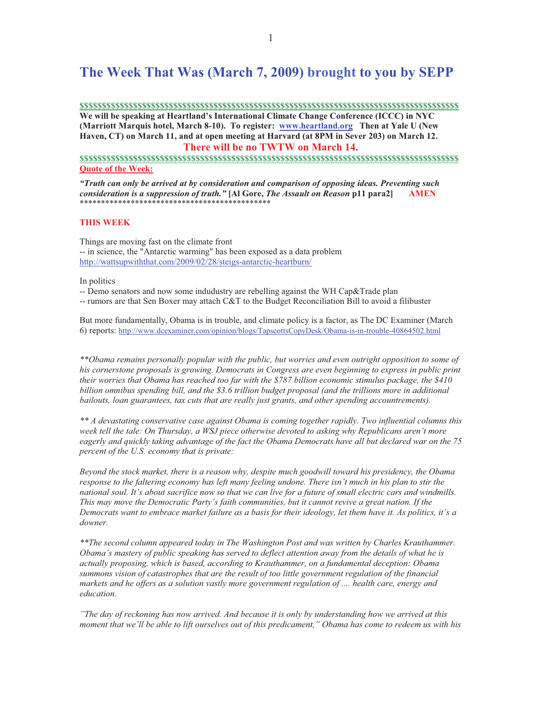# **The Week That Was (March 7, 2009) brought to you by SEPP**

**\$\$\$\$\$\$\$\$\$\$\$\$\$\$\$\$\$\$\$\$\$\$\$\$\$\$\$\$\$\$\$\$\$\$\$\$\$\$\$\$\$\$\$\$\$\$\$\$\$\$\$\$\$\$\$\$\$\$\$\$\$\$\$\$\$\$\$\$\$\$\$\$\$\$\$\$\$\$\$\$\$\$\$\$\$ We will be speaking at Heartland's International Climate Change Conference (ICCC) in NYC (Marriott Marquis hotel, March 8-10). To register: www.heartland.org Then at Yale U (New Haven, CT) on March 11, and at open meeting at Harvard (at 8PM in Sever 203) on March 12.** 

## **There will be no TWTW on March 14.**

**\$\$\$\$\$\$\$\$\$\$\$\$\$\$\$\$\$\$\$\$\$\$\$\$\$\$\$\$\$\$\$\$\$\$\$\$\$\$\$\$\$\$\$\$\$\$\$\$\$\$\$\$\$\$\$\$\$\$\$\$\$\$\$\$\$\$\$\$\$\$\$\$\$\$\$\$\$\$\$\$\$\$\$\$\$ Quote of the Week:**

*"Truth can only be arrived at by consideration and comparison of opposing ideas. Preventing such consideration is a suppression of truth."* **[Al Gore,** *The Assault on Reason* **p11 para2] AMEN**  \*\*\*\*\*\*\*\*\*\*\*\*\*\*\*\*\*\*\*\*\*\*\*\*\*\*\*\*\*\*\*\*\*\*\*\*\*\*\*\*\*\*\*\*\*

#### **THIS WEEK**

Things are moving fast on the climate front -- in science, the "Antarctic warming" has been exposed as a data problem http://wattsupwiththat.com/2009/02/28/steigs-antarctic-heartburn/

In politics

-- Demo senators and now some indudustry are rebelling against the WH Cap&Trade plan

-- rumors are that Sen Boxer may attach C&T to the Budget Reconciliation Bill to avoid a filibuster

But more fundamentally, Obama is in trouble, and climate policy is a factor, as The DC Examiner (March 6) reports: http://www.dcexaminer.com/opinion/blogs/TapscottsCopyDesk/Obama-is-in-trouble-40864502.html

*\*\*Obama remains personally popular with the public, but worries and even outright opposition to some of his cornerstone proposals is growing. Democrats in Congress are even beginning to express in public print their worries that Obama has reached too far with the \$787 billion economic stimulus package, the \$410 billion omnibus spending bill, and the \$3.6 trillion budget proposal (and the trillions more in additional bailouts, loan guarantees, tax cuts that are really just grants, and other spending accountrements).* 

*\*\* A devastating conservative case against Obama is coming together rapidly. Two influential columns this week tell the tale: On Thursday, a WSJ piece otherwise devoted to asking why Republicans aren't more eagerly and quickly taking advantage of the fact the Obama Democrats have all but declared war on the 75 percent of the U.S. economy that is private:* 

*Beyond the stock market, there is a reason why, despite much goodwill toward his presidency, the Obama response to the faltering economy has left many feeling undone. There isn't much in his plan to stir the national soul. It's about sacrifice now so that we can live for a future of small electric cars and windmills. This may move the Democratic Party's faith communities, but it cannot revive a great nation. If the Democrats want to embrace market failure as a basis for their ideology, let them have it. As politics, it's a downer.* 

*\*\*The second column appeared today in The Washington Post and was written by Charles Krauthammer. Obama's mastery of public speaking has served to deflect attention away from the details of what he is actually proposing, which is based, according to Krauthammer, on a fundamental deception: Obama summons vision of catastrophes that are the result of too little government regulation of the financial markets and he offers as a solution vastly more government regulation of .... health care, energy and education.* 

*"The day of reckoning has now arrived. And because it is only by understanding how we arrived at this moment that we'll be able to lift ourselves out of this predicament," Obama has come to redeem us with his*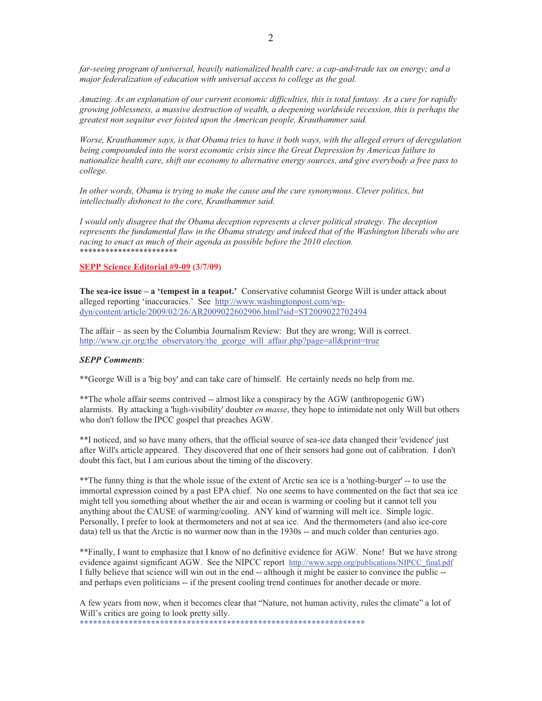*far-seeing program of universal, heavily nationalized health care; a cap-and-trade tax on energy; and a major federalization of education with universal access to college as the goal.* 

*Amazing. As an explanation of our current economic difficulties, this is total fantasy. As a cure for rapidly growing joblessness, a massive destruction of wealth, a deepening worldwide recession, this is perhaps the greatest non sequitur ever foisted upon the American people, Krauthammer said.* 

*Worse, Krauthammer says, is that Obama tries to have it both ways, with the alleged errors of deregulation being compounded into the worst economic crisis since the Great Depression by Americas failure to nationalize health care, shift our economy to alternative energy sources, and give everybody a free pass to college.* 

In other words, Obama is trying to make the cause and the cure synonymous. Clever politics, but *intellectually dishonest to the core, Krauthammer said.* 

*I would only disagree that the Obama deception represents a clever political strategy. The deception represents the fundamental flaw in the Obama strategy and indeed that of the Washington liberals who are*  racing to enact as much of their agenda as possible before the 2010 election. \*\*\*\*\*\*\*\*\*\*\*\*\*\*\*\*\*\*\*\*\*\*\*

#### **SEPP Science Editorial #9-09 (3/7/09)**

**The sea-ice issue – a 'tempest in a teapot.'** Conservative columnist George Will is under attack about alleged reporting 'inaccuracies.' See http://www.washingtonpost.com/wpdyn/content/article/2009/02/26/AR2009022602906.html?sid=ST2009022702494

The affair – as seen by the Columbia Journalism Review: But they are wrong; Will is correct. http://www.cjr.org/the\_observatory/the\_george\_will\_affair.php?page=all&print=true

#### *SEPP Comments*:

\*\*George Will is a 'big boy' and can take care of himself. He certainly needs no help from me.

\*\*The whole affair seems contrived -- almost like a conspiracy by the AGW (anthropogenic GW) alarmists. By attacking a 'high-visibility' doubter *en masse*, they hope to intimidate not only Will but others who don't follow the IPCC gospel that preaches AGW.

\*\*I noticed, and so have many others, that the official source of sea-ice data changed their 'evidence' just after Will's article appeared. They discovered that one of their sensors had gone out of calibration. I don't doubt this fact, but I am curious about the timing of the discovery.

\*\*The funny thing is that the whole issue of the extent of Arctic sea ice is a 'nothing-burger' -- to use the immortal expression coined by a past EPA chief. No one seems to have commented on the fact that sea ice might tell you something about whether the air and ocean is warming or cooling but it cannot tell you anything about the CAUSE of warming/cooling. ANY kind of warming will melt ice. Simple logic. Personally, I prefer to look at thermometers and not at sea ice. And the thermometers (and also ice-core data) tell us that the Arctic is no warmer now than in the 1930s -- and much colder than centuries ago.

\*\*Finally, I want to emphasize that I know of no definitive evidence for AGW. None! But we have strong evidence against significant AGW. See the NIPCC report http://www.sepp.org/publications/NIPCC final.pdf I fully believe that science will win out in the end -- although it might be easier to convince the public - and perhaps even politicians -- if the present cooling trend continues for another decade or more.

A few years from now, when it becomes clear that "Nature, not human activity, rules the climate" a lot of Will's critics are going to look pretty silly.

**\*\*\*\*\*\*\*\*\*\*\*\*\*\*\*\*\*\*\*\*\*\*\*\*\*\*\*\*\*\*\*\*\*\*\*\*\*\*\*\*\*\*\*\*\*\*\*\*\*\*\*\*\*\*\*\*\*\*\*\*\*\*\*\***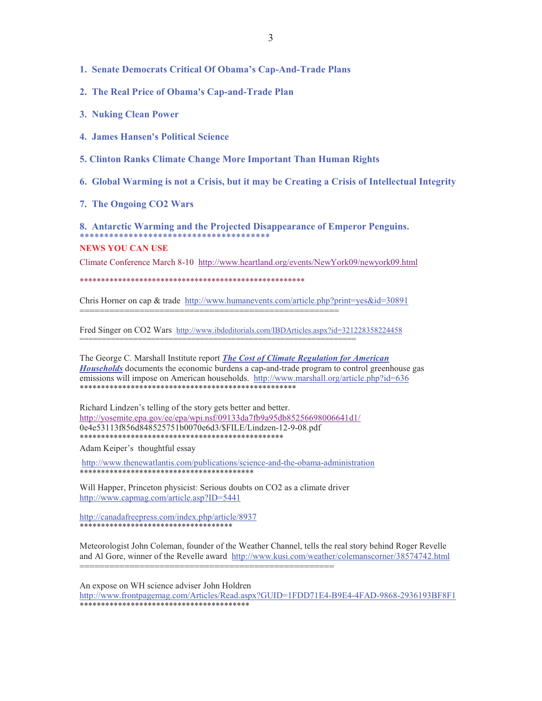- **2. The Real Price of Obama's Cap-and-Trade Plan**
- **3. Nuking Clean Power**
- **4. James Hansen's Political Science**
- **5. Clinton Ranks Climate Change More Important Than Human Rights**
- **6. Global Warming is not a Crisis, but it may be Creating a Crisis of Intellectual Integrity**
- **7. The Ongoing CO2 Wars**

**8. Antarctic Warming and the Projected Disappearance of Emperor Penguins.**  \*\*\*\*\*\*\*\*\*\*\*\*\*\*\*\*\*\*\*\*\*\*\*\*\*\*\*\*\*\*\*\*\*\*\*\*\*\*\*

#### **NEWS YOU CAN USE**

Climate Conference March 8-10 http://www.heartland.org/events/NewYork09/newyork09.html

\*\*\*\*\*\*\*\*\*\*\*\*\*\*\*\*\*\*\*\*\*\*\*\*\*\*\*\*\*\*\*\*\*\*\*\*\*\*\*\*\*\*\*\*\*\*\*\*\*\*\*\*\*

====================================================

==============================================================

Chris Horner on cap & trade http://www.humanevents.com/article.php?print=yes&id=30891

Fred Singer on CO2 Wars http://www.ibdeditorials.com/IBDArticles.aspx?id=321228358224458

The George C. Marshall Institute report *The Cost of Climate Regulation for American Households* documents the economic burdens a cap-and-trade program to control greenhouse gas emissions will impose on American households. http://www.marshall.org/article.php?id=636 \*\*\*\*\*\*\*\*\*\*\*\*\*\*\*\*\*\*\*\*\*\*\*\*\*\*\*\*\*\*\*\*\*\*\*\*\*\*\*\*\*\*\*\*\*\*\*\*\*\*\*

Richard Lindzen's telling of the story gets better and better. http://yosemite.epa.gov/ee/epa/wpi.nsf/09133da7fb9a95db85256698006641d1/ 0e4e53113f856d848525751b0070e6d3/\$FILE/Lindzen-12-9-08.pdf \*\*\*\*\*\*\*\*\*\*\*\*\*\*\*\*\*\*\*\*\*\*\*\*\*\*\*\*\*\*\*\*\*\*\*\*\*\*\*\*\*\*\*\*\*\*\*\*

Adam Keiper's thoughtful essay

http://www.thenewatlantis.com/publications/science-and-the-obama-administration \*\*\*\*\*\*\*\*\*\*\*\*\*\*\*\*\*\*\*\*\*\*\*\*\*\*\*\*\*\*\*\*\*\*\*\*\*\*\*\*\*

Will Happer, Princeton physicist: Serious doubts on CO2 as a climate driver http://www.capmag.com/article.asp?ID=5441

===================================================

http://canadafreepress.com/index.php/article/8937 \*\*\*\*\*\*\*\*\*\*\*\*\*\*\*\*\*\*\*\*\*\*\*\*\*\*\*\*\*\*\*\*\*\*\*\*

Meteorologist John Coleman, founder of the Weather Channel, tells the real story behind Roger Revelle and Al Gore, winner of the Revelle award http://www.kusi.com/weather/colemanscorner/38574742.html

An expose on WH science adviser John Holdren http://www.frontpagemag.com/Articles/Read.aspx?GUID=1FDD71E4-B9E4-4FAD-9868-2936193BF8F1 \*\*\*\*\*\*\*\*\*\*\*\*\*\*\*\*\*\*\*\*\*\*\*\*\*\*\*\*\*\*\*\*\*\*\*\*\*\*\*\*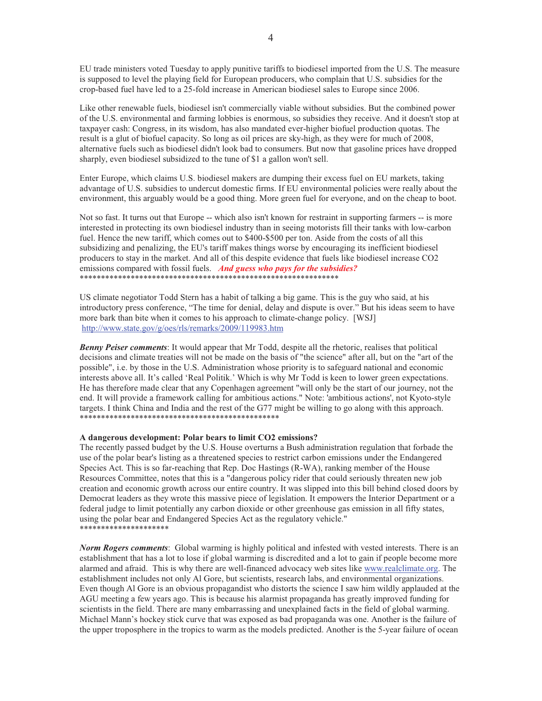EU trade ministers voted Tuesday to apply punitive tariffs to biodiesel imported from the U.S. The measure is supposed to level the playing field for European producers, who complain that U.S. subsidies for the crop-based fuel have led to a 25-fold increase in American biodiesel sales to Europe since 2006.

Like other renewable fuels, biodiesel isn't commercially viable without subsidies. But the combined power of the U.S. environmental and farming lobbies is enormous, so subsidies they receive. And it doesn't stop at taxpayer cash: Congress, in its wisdom, has also mandated ever-higher biofuel production quotas. The result is a glut of biofuel capacity. So long as oil prices are sky-high, as they were for much of 2008, alternative fuels such as biodiesel didn't look bad to consumers. But now that gasoline prices have dropped sharply, even biodiesel subsidized to the tune of \$1 a gallon won't sell.

Enter Europe, which claims U.S. biodiesel makers are dumping their excess fuel on EU markets, taking advantage of U.S. subsidies to undercut domestic firms. If EU environmental policies were really about the environment, this arguably would be a good thing. More green fuel for everyone, and on the cheap to boot.

Not so fast. It turns out that Europe -- which also isn't known for restraint in supporting farmers -- is more interested in protecting its own biodiesel industry than in seeing motorists fill their tanks with low-carbon fuel. Hence the new tariff, which comes out to \$400-\$500 per ton. Aside from the costs of all this subsidizing and penalizing, the EU's tariff makes things worse by encouraging its inefficient biodiesel producers to stay in the market. And all of this despite evidence that fuels like biodiesel increase CO2 emissions compared with fossil fuels. *And guess who pays for the subsidies?* \*\*\*\*\*\*\*\*\*\*\*\*\*\*\*\*\*\*\*\*\*\*\*\*\*\*\*\*\*\*\*\*\*\*\*\*\*\*\*\*\*\*\*\*\*\*\*\*\*\*\*\*\*\*\*\*\*\*\*\*\*

US climate negotiator Todd Stern has a habit of talking a big game. This is the guy who said, at his introductory press conference, "The time for denial, delay and dispute is over." But his ideas seem to have more bark than bite when it comes to his approach to climate-change policy. [WSJ] http://www.state.gov/g/oes/rls/remarks/2009/119983.htm

*Benny Peiser comments*: It would appear that Mr Todd, despite all the rhetoric, realises that political decisions and climate treaties will not be made on the basis of "the science" after all, but on the "art of the possible", i.e. by those in the U.S. Administration whose priority is to safeguard national and economic interests above all. It's called 'Real Politik.' Which is why Mr Todd is keen to lower green expectations. He has therefore made clear that any Copenhagen agreement "will only be the start of our journey, not the end. It will provide a framework calling for ambitious actions." Note: 'ambitious actions', not Kyoto-style targets. I think China and India and the rest of the G77 might be willing to go along with this approach. \*\*\*\*\*\*\*\*\*\*\*\*\*\*\*\*\*\*\*\*\*\*\*\*\*\*\*\*\*\*\*\*\*\*\*\*\*\*\*\*\*\*\*\*\*\*\*

#### **A dangerous development: Polar bears to limit CO2 emissions?**

The recently passed budget by the U.S. House overturns a Bush administration regulation that forbade the use of the polar bear's listing as a threatened species to restrict carbon emissions under the Endangered Species Act. This is so far-reaching that Rep. Doc Hastings (R-WA), ranking member of the House Resources Committee, notes that this is a "dangerous policy rider that could seriously threaten new job creation and economic growth across our entire country. It was slipped into this bill behind closed doors by Democrat leaders as they wrote this massive piece of legislation. It empowers the Interior Department or a federal judge to limit potentially any carbon dioxide or other greenhouse gas emission in all fifty states, using the polar bear and Endangered Species Act as the regulatory vehicle." \*\*\*\*\*\*\*\*\*\*\*\*\*\*\*\*\*\*\*\*\*

*Norm Rogers comments*: Global warming is highly political and infested with vested interests. There is an establishment that has a lot to lose if global warming is discredited and a lot to gain if people become more alarmed and afraid. This is why there are well-financed advocacy web sites like www.realclimate.org. The establishment includes not only Al Gore, but scientists, research labs, and environmental organizations. Even though Al Gore is an obvious propagandist who distorts the science I saw him wildly applauded at the AGU meeting a few years ago. This is because his alarmist propaganda has greatly improved funding for scientists in the field. There are many embarrassing and unexplained facts in the field of global warming. Michael Mann's hockey stick curve that was exposed as bad propaganda was one. Another is the failure of the upper troposphere in the tropics to warm as the models predicted. Another is the 5-year failure of ocean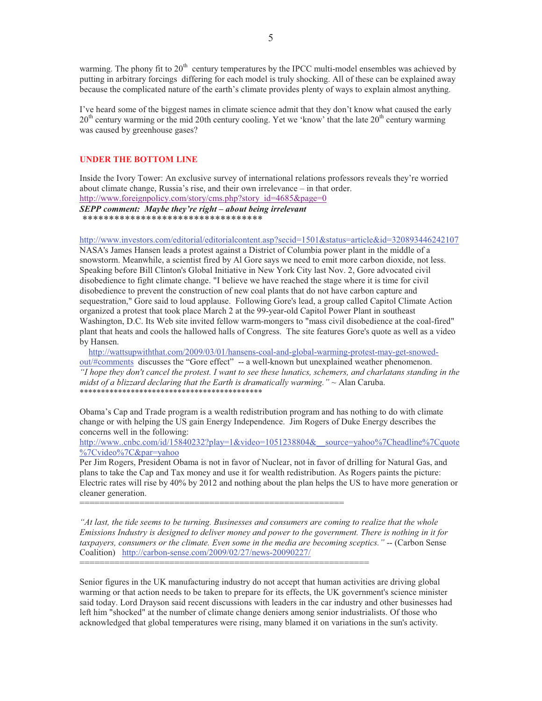warming. The phony fit to 20<sup>th</sup> century temperatures by the IPCC multi-model ensembles was achieved by putting in arbitrary forcings differing for each model is truly shocking. All of these can be explained away because the complicated nature of the earth's climate provides plenty of ways to explain almost anything.

I've heard some of the biggest names in climate science admit that they don't know what caused the early  $20<sup>th</sup>$  century warming or the mid 20th century cooling. Yet we 'know' that the late  $20<sup>th</sup>$  century warming was caused by greenhouse gases?

#### **UNDER THE BOTTOM LINE**

Inside the Ivory Tower: An exclusive survey of international relations professors reveals they're worried about climate change, Russia's rise, and their own irrelevance – in that order. http://www.foreignpolicy.com/story/cms.php?story\_id=4685&page=0

*SEPP comment: Maybe they're right – about being irrelevant* \*\*\*\*\*\*\*\*\*\*\*\*\*\*\*\*\*\*\*\*\*\*\*\*\*\*\*\*\*\*\*\*\*\*

http://www.investors.com/editorial/editorialcontent.asp?secid=1501&status=article&id=320893446242107

NASA's James Hansen leads a protest against a District of Columbia power plant in the middle of a snowstorm. Meanwhile, a scientist fired by Al Gore says we need to emit more carbon dioxide, not less. Speaking before Bill Clinton's Global Initiative in New York City last Nov. 2, Gore advocated civil disobedience to fight climate change. "I believe we have reached the stage where it is time for civil disobedience to prevent the construction of new coal plants that do not have carbon capture and sequestration," Gore said to loud applause. Following Gore's lead, a group called Capitol Climate Action organized a protest that took place March 2 at the 99-year-old Capitol Power Plant in southeast Washington, D.C. Its Web site invited fellow warm-mongers to "mass civil disobedience at the coal-fired" plant that heats and cools the hallowed halls of Congress. The site features Gore's quote as well as a video by Hansen.

 http://wattsupwiththat.com/2009/03/01/hansens-coal-and-global-warming-protest-may-get-snowedout/#comments discusses the "Gore effect" -- a well-known but unexplained weather phenomenon. *"I hope they don't cancel the protest. I want to see these lunatics, schemers, and charlatans standing in the midst of a blizzard declaring that the Earth is dramatically warming."* ~ Alan Caruba. \*\*\*\*\*\*\*\*\*\*\*\*\*\*\*\*\*\*\*\*\*\*\*\*\*\*\*\*\*\*\*\*\*\*\*\*\*\*\*\*\*\*\*

Obama's Cap and Trade program is a wealth redistribution program and has nothing to do with climate change or with helping the US gain Energy Independence. Jim Rogers of Duke Energy describes the concerns well in the following:

http://www..cnbc.com/id/15840232?play=1&video=1051238804&\_\_source=vahoo%7Cheadline%7Cquote %7Cvideo%7C&par=yahoo

Per Jim Rogers, President Obama is not in favor of Nuclear, not in favor of drilling for Natural Gas, and plans to take the Cap and Tax money and use it for wealth redistribution. As Rogers paints the picture: Electric rates will rise by 40% by 2012 and nothing about the plan helps the US to have more generation or cleaner generation.

*"At last, the tide seems to be turning. Businesses and consumers are coming to realize that the whole Emissions Industry is designed to deliver money and power to the government. There is nothing in it for taxpayers, consumers or the climate. Even some in the media are becoming sceptics."* -- (Carbon Sense Coalition) http://carbon-sense.com/2009/02/27/news-20090227/

=====================================================

==========================================================

Senior figures in the UK manufacturing industry do not accept that human activities are driving global warming or that action needs to be taken to prepare for its effects, the UK government's science minister said today. Lord Drayson said recent discussions with leaders in the car industry and other businesses had left him "shocked" at the number of climate change deniers among senior industrialists. Of those who acknowledged that global temperatures were rising, many blamed it on variations in the sun's activity.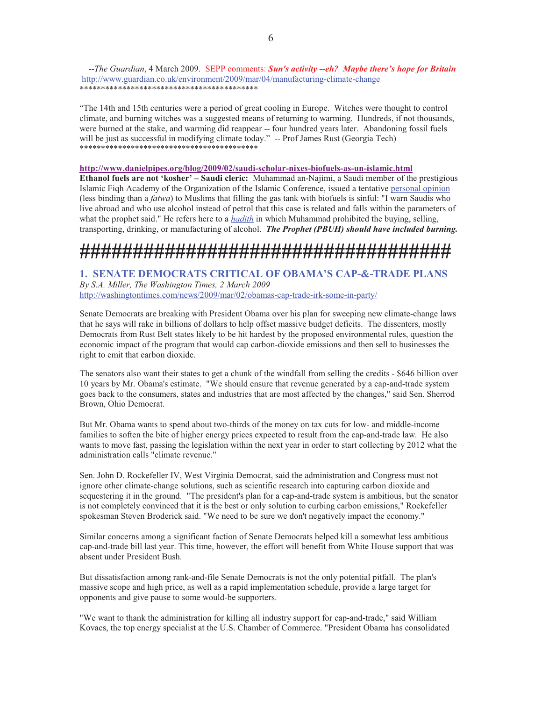--*The Guardian*, 4 March 2009. SEPP comments: *Sun's activity --eh? Maybe there's hope for Britain*  http://www.guardian.co.uk/environment/2009/mar/04/manufacturing-climate-change \*\*\*\*\*\*\*\*\*\*\*\*\*\*\*\*\*\*\*\*\*\*\*\*\*\*\*\*\*\*\*\*\*\*\*\*\*\*\*\*\*\*

"The 14th and 15th centuries were a period of great cooling in Europe. Witches were thought to control climate, and burning witches was a suggested means of returning to warming. Hundreds, if not thousands, were burned at the stake, and warming did reappear -- four hundred years later. Abandoning fossil fuels will be just as successful in modifying climate today." -- Prof James Rust (Georgia Tech) \*\*\*\*\*\*\*\*\*\*\*\*\*\*\*\*\*\*\*\*\*\*\*\*\*\*\*\*\*\*\*\*\*\*\*\*\*\*\*\*\*\*

#### **http://www.danielpipes.org/blog/2009/02/saudi-scholar-nixes-biofuels-as-un-islamic.html**

**Ethanol fuels are not 'kosher' – Saudi cleric:** Muhammad an-Najimi, a Saudi member of the prestigious Islamic Fiqh Academy of the Organization of the Islamic Conference, issued a tentative personal opinion (less binding than a *fatwa*) to Muslims that filling the gas tank with biofuels is sinful: "I warn Saudis who live abroad and who use alcohol instead of petrol that this case is related and falls within the parameters of what the prophet said." He refers here to a *hadith* in which Muhammad prohibited the buying, selling, transporting, drinking, or manufacturing of alcohol. *The Prophet (PBUH) should have included burning.* 

# **###################################**

#### **1. SENATE DEMOCRATS CRITICAL OF OBAMA'S CAP-&-TRADE PLANS**

*By S.A. Miller, The Washington Times, 2 March 2009*  http://washingtontimes.com/news/2009/mar/02/obamas-cap-trade-irk-some-in-party/

Senate Democrats are breaking with President Obama over his plan for sweeping new climate-change laws that he says will rake in billions of dollars to help offset massive budget deficits. The dissenters, mostly Democrats from Rust Belt states likely to be hit hardest by the proposed environmental rules, question the economic impact of the program that would cap carbon-dioxide emissions and then sell to businesses the right to emit that carbon dioxide.

The senators also want their states to get a chunk of the windfall from selling the credits - \$646 billion over 10 years by Mr. Obama's estimate. "We should ensure that revenue generated by a cap-and-trade system goes back to the consumers, states and industries that are most affected by the changes," said Sen. Sherrod Brown, Ohio Democrat.

But Mr. Obama wants to spend about two-thirds of the money on tax cuts for low- and middle-income families to soften the bite of higher energy prices expected to result from the cap-and-trade law. He also wants to move fast, passing the legislation within the next year in order to start collecting by 2012 what the administration calls "climate revenue."

Sen. John D. Rockefeller IV, West Virginia Democrat, said the administration and Congress must not ignore other climate-change solutions, such as scientific research into capturing carbon dioxide and sequestering it in the ground. "The president's plan for a cap-and-trade system is ambitious, but the senator is not completely convinced that it is the best or only solution to curbing carbon emissions," Rockefeller spokesman Steven Broderick said. "We need to be sure we don't negatively impact the economy."

Similar concerns among a significant faction of Senate Democrats helped kill a somewhat less ambitious cap-and-trade bill last year. This time, however, the effort will benefit from White House support that was absent under President Bush.

But dissatisfaction among rank-and-file Senate Democrats is not the only potential pitfall. The plan's massive scope and high price, as well as a rapid implementation schedule, provide a large target for opponents and give pause to some would-be supporters.

"We want to thank the administration for killing all industry support for cap-and-trade," said William Kovacs, the top energy specialist at the U.S. Chamber of Commerce. "President Obama has consolidated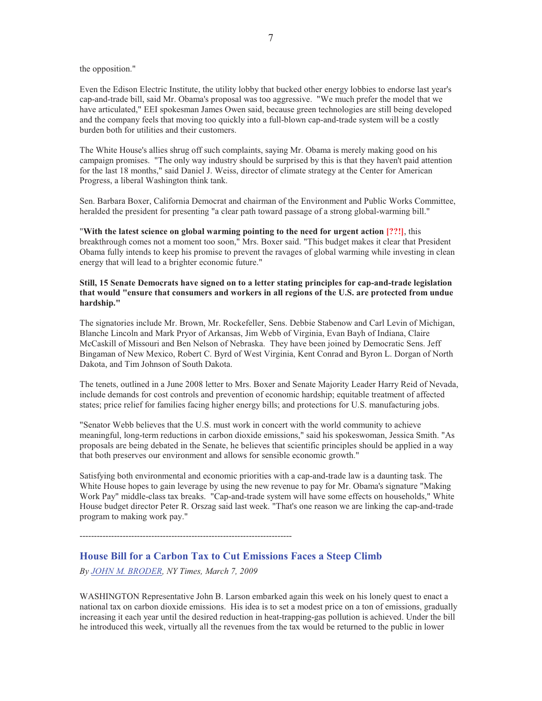the opposition."

Even the Edison Electric Institute, the utility lobby that bucked other energy lobbies to endorse last year's cap-and-trade bill, said Mr. Obama's proposal was too aggressive. "We much prefer the model that we have articulated," EEI spokesman James Owen said, because green technologies are still being developed and the company feels that moving too quickly into a full-blown cap-and-trade system will be a costly burden both for utilities and their customers.

The White House's allies shrug off such complaints, saying Mr. Obama is merely making good on his campaign promises. "The only way industry should be surprised by this is that they haven't paid attention for the last 18 months," said Daniel J. Weiss, director of climate strategy at the Center for American Progress, a liberal Washington think tank.

Sen. Barbara Boxer, California Democrat and chairman of the Environment and Public Works Committee, heralded the president for presenting "a clear path toward passage of a strong global-warming bill."

"**With the latest science on global warming pointing to the need for urgent action [??!]**, this breakthrough comes not a moment too soon," Mrs. Boxer said. "This budget makes it clear that President Obama fully intends to keep his promise to prevent the ravages of global warming while investing in clean energy that will lead to a brighter economic future."

#### **Still, 15 Senate Democrats have signed on to a letter stating principles for cap-and-trade legislation that would "ensure that consumers and workers in all regions of the U.S. are protected from undue hardship."**

The signatories include Mr. Brown, Mr. Rockefeller, Sens. Debbie Stabenow and Carl Levin of Michigan, Blanche Lincoln and Mark Pryor of Arkansas, Jim Webb of Virginia, Evan Bayh of Indiana, Claire McCaskill of Missouri and Ben Nelson of Nebraska. They have been joined by Democratic Sens. Jeff Bingaman of New Mexico, Robert C. Byrd of West Virginia, Kent Conrad and Byron L. Dorgan of North Dakota, and Tim Johnson of South Dakota.

The tenets, outlined in a June 2008 letter to Mrs. Boxer and Senate Majority Leader Harry Reid of Nevada, include demands for cost controls and prevention of economic hardship; equitable treatment of affected states; price relief for families facing higher energy bills; and protections for U.S. manufacturing jobs.

"Senator Webb believes that the U.S. must work in concert with the world community to achieve meaningful, long-term reductions in carbon dioxide emissions," said his spokeswoman, Jessica Smith. "As proposals are being debated in the Senate, he believes that scientific principles should be applied in a way that both preserves our environment and allows for sensible economic growth."

Satisfying both environmental and economic priorities with a cap-and-trade law is a daunting task. The White House hopes to gain leverage by using the new revenue to pay for Mr. Obama's signature "Making Work Pay" middle-class tax breaks. "Cap-and-trade system will have some effects on households," White House budget director Peter R. Orszag said last week. "That's one reason we are linking the cap-and-trade program to making work pay."

--------------------------------------------------------------------------

# **House Bill for a Carbon Tax to Cut Emissions Faces a Steep Climb**

*By JOHN M. BRODER, NY Times, March 7, 2009*

WASHINGTON Representative John B. Larson embarked again this week on his lonely quest to enact a national tax on carbon dioxide emissions. His idea is to set a modest price on a ton of emissions, gradually increasing it each year until the desired reduction in heat-trapping-gas pollution is achieved. Under the bill he introduced this week, virtually all the revenues from the tax would be returned to the public in lower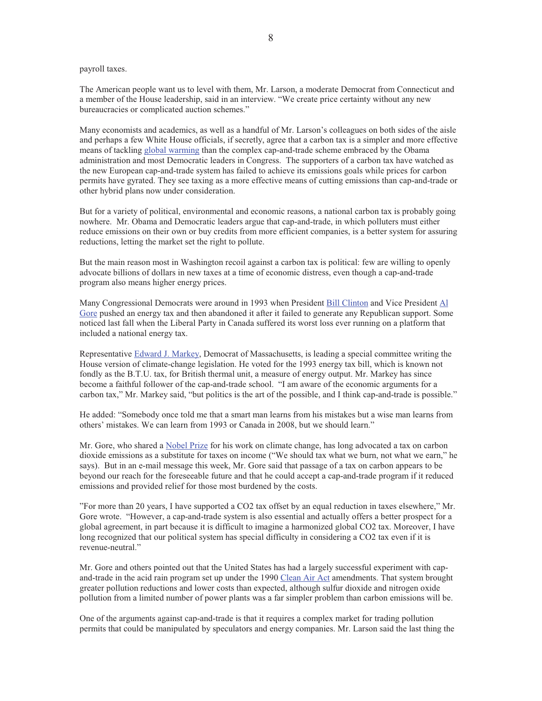#### payroll taxes.

The American people want us to level with them, Mr. Larson, a moderate Democrat from Connecticut and a member of the House leadership, said in an interview. "We create price certainty without any new bureaucracies or complicated auction schemes."

Many economists and academics, as well as a handful of Mr. Larson's colleagues on both sides of the aisle and perhaps a few White House officials, if secretly, agree that a carbon tax is a simpler and more effective means of tackling global warming than the complex cap-and-trade scheme embraced by the Obama administration and most Democratic leaders in Congress. The supporters of a carbon tax have watched as the new European cap-and-trade system has failed to achieve its emissions goals while prices for carbon permits have gyrated. They see taxing as a more effective means of cutting emissions than cap-and-trade or other hybrid plans now under consideration.

But for a variety of political, environmental and economic reasons, a national carbon tax is probably going nowhere. Mr. Obama and Democratic leaders argue that cap-and-trade, in which polluters must either reduce emissions on their own or buy credits from more efficient companies, is a better system for assuring reductions, letting the market set the right to pollute.

But the main reason most in Washington recoil against a carbon tax is political: few are willing to openly advocate billions of dollars in new taxes at a time of economic distress, even though a cap-and-trade program also means higher energy prices.

Many Congressional Democrats were around in 1993 when President Bill Clinton and Vice President Al Gore pushed an energy tax and then abandoned it after it failed to generate any Republican support. Some noticed last fall when the Liberal Party in Canada suffered its worst loss ever running on a platform that included a national energy tax.

Representative Edward J. Markey, Democrat of Massachusetts, is leading a special committee writing the House version of climate-change legislation. He voted for the 1993 energy tax bill, which is known not fondly as the B.T.U. tax, for British thermal unit, a measure of energy output. Mr. Markey has since become a faithful follower of the cap-and-trade school. "I am aware of the economic arguments for a carbon tax," Mr. Markey said, "but politics is the art of the possible, and I think cap-and-trade is possible."

He added: "Somebody once told me that a smart man learns from his mistakes but a wise man learns from others' mistakes. We can learn from 1993 or Canada in 2008, but we should learn."

Mr. Gore, who shared a Nobel Prize for his work on climate change, has long advocated a tax on carbon dioxide emissions as a substitute for taxes on income ("We should tax what we burn, not what we earn," he says). But in an e-mail message this week, Mr. Gore said that passage of a tax on carbon appears to be beyond our reach for the foreseeable future and that he could accept a cap-and-trade program if it reduced emissions and provided relief for those most burdened by the costs.

"For more than 20 years, I have supported a CO2 tax offset by an equal reduction in taxes elsewhere," Mr. Gore wrote. "However, a cap-and-trade system is also essential and actually offers a better prospect for a global agreement, in part because it is difficult to imagine a harmonized global CO2 tax. Moreover, I have long recognized that our political system has special difficulty in considering a CO2 tax even if it is revenue-neutral."

Mr. Gore and others pointed out that the United States has had a largely successful experiment with capand-trade in the acid rain program set up under the 1990 Clean Air Act amendments. That system brought greater pollution reductions and lower costs than expected, although sulfur dioxide and nitrogen oxide pollution from a limited number of power plants was a far simpler problem than carbon emissions will be.

One of the arguments against cap-and-trade is that it requires a complex market for trading pollution permits that could be manipulated by speculators and energy companies. Mr. Larson said the last thing the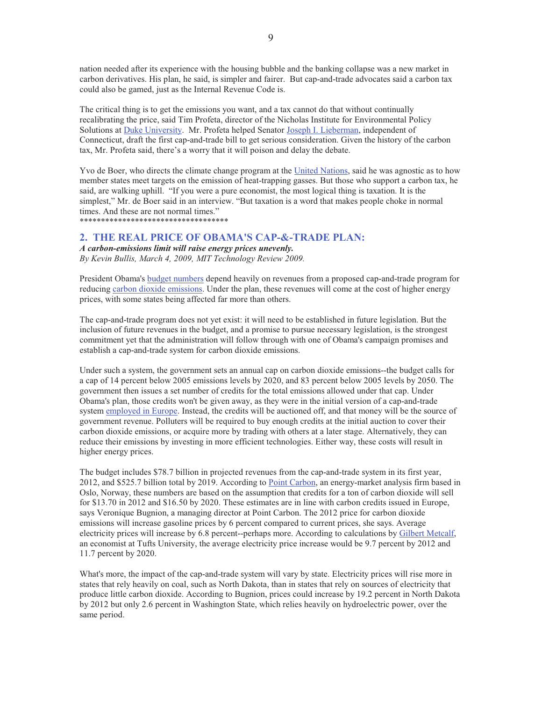nation needed after its experience with the housing bubble and the banking collapse was a new market in carbon derivatives. His plan, he said, is simpler and fairer. But cap-and-trade advocates said a carbon tax could also be gamed, just as the Internal Revenue Code is.

The critical thing is to get the emissions you want, and a tax cannot do that without continually recalibrating the price, said Tim Profeta, director of the Nicholas Institute for Environmental Policy Solutions at Duke University. Mr. Profeta helped Senator Joseph I. Lieberman, independent of Connecticut, draft the first cap-and-trade bill to get serious consideration. Given the history of the carbon tax, Mr. Profeta said, there's a worry that it will poison and delay the debate.

Yvo de Boer, who directs the climate change program at the United Nations, said he was agnostic as to how member states meet targets on the emission of heat-trapping gasses. But those who support a carbon tax, he said, are walking uphill. "If you were a pure economist, the most logical thing is taxation. It is the simplest," Mr. de Boer said in an interview. "But taxation is a word that makes people choke in normal times. And these are not normal times." \*\*\*\*\*\*\*\*\*\*\*\*\*\*\*\*\*\*\*\*\*\*\*\*\*\*\*\*\*\*\*\*\*\*\*

# **2. THE REAL PRICE OF OBAMA'S CAP-&-TRADE PLAN:**

*A carbon-emissions limit will raise energy prices unevenly. By Kevin Bullis, March 4, 2009, MIT Technology Review 2009.* 

President Obama's budget numbers depend heavily on revenues from a proposed cap-and-trade program for reducing carbon dioxide emissions. Under the plan, these revenues will come at the cost of higher energy prices, with some states being affected far more than others.

The cap-and-trade program does not yet exist: it will need to be established in future legislation. But the inclusion of future revenues in the budget, and a promise to pursue necessary legislation, is the strongest commitment yet that the administration will follow through with one of Obama's campaign promises and establish a cap-and-trade system for carbon dioxide emissions.

Under such a system, the government sets an annual cap on carbon dioxide emissions--the budget calls for a cap of 14 percent below 2005 emissions levels by 2020, and 83 percent below 2005 levels by 2050. The government then issues a set number of credits for the total emissions allowed under that cap. Under Obama's plan, those credits won't be given away, as they were in the initial version of a cap-and-trade system employed in Europe. Instead, the credits will be auctioned off, and that money will be the source of government revenue. Polluters will be required to buy enough credits at the initial auction to cover their carbon dioxide emissions, or acquire more by trading with others at a later stage. Alternatively, they can reduce their emissions by investing in more efficient technologies. Either way, these costs will result in higher energy prices.

The budget includes \$78.7 billion in projected revenues from the cap-and-trade system in its first year, 2012, and \$525.7 billion total by 2019. According to Point Carbon, an energy-market analysis firm based in Oslo, Norway, these numbers are based on the assumption that credits for a ton of carbon dioxide will sell for \$13.70 in 2012 and \$16.50 by 2020. These estimates are in line with carbon credits issued in Europe, says Veronique Bugnion, a managing director at Point Carbon. The 2012 price for carbon dioxide emissions will increase gasoline prices by 6 percent compared to current prices, she says. Average electricity prices will increase by 6.8 percent--perhaps more. According to calculations by Gilbert Metcalf, an economist at Tufts University, the average electricity price increase would be 9.7 percent by 2012 and 11.7 percent by 2020.

What's more, the impact of the cap-and-trade system will vary by state. Electricity prices will rise more in states that rely heavily on coal, such as North Dakota, than in states that rely on sources of electricity that produce little carbon dioxide. According to Bugnion, prices could increase by 19.2 percent in North Dakota by 2012 but only 2.6 percent in Washington State, which relies heavily on hydroelectric power, over the same period.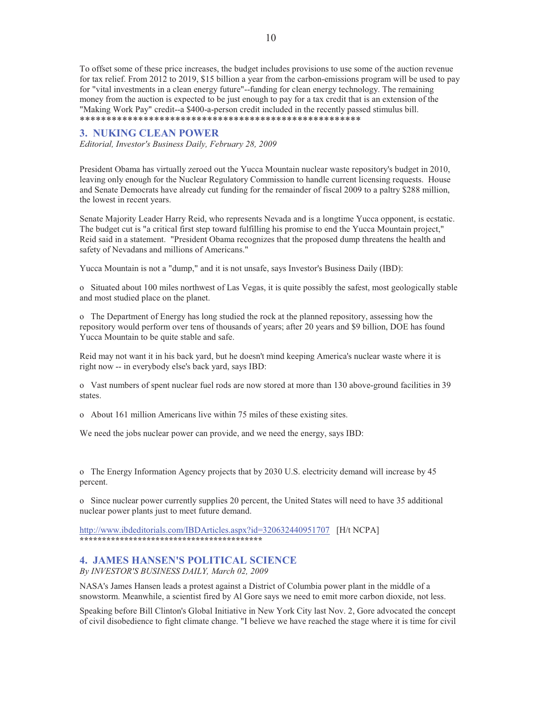To offset some of these price increases, the budget includes provisions to use some of the auction revenue for tax relief. From 2012 to 2019, \$15 billion a year from the carbon-emissions program will be used to pay for "vital investments in a clean energy future"--funding for clean energy technology. The remaining money from the auction is expected to be just enough to pay for a tax credit that is an extension of the "Making Work Pay" credit--a \$400-a-person credit included in the recently passed stimulus bill. \*\*\*\*\*\*\*\*\*\*\*\*\*\*\*\*\*\*\*\*\*\*\*\*\*\*\*\*\*\*\*\*\*\*\*\*\*\*\*\*\*\*\*\*\*\*\*\*\*\*\*\*\*

#### **3. NUKING CLEAN POWER**

*Editorial, Investor's Business Daily, February 28, 2009* 

President Obama has virtually zeroed out the Yucca Mountain nuclear waste repository's budget in 2010, leaving only enough for the Nuclear Regulatory Commission to handle current licensing requests. House and Senate Democrats have already cut funding for the remainder of fiscal 2009 to a paltry \$288 million, the lowest in recent years.

Senate Majority Leader Harry Reid, who represents Nevada and is a longtime Yucca opponent, is ecstatic. The budget cut is "a critical first step toward fulfilling his promise to end the Yucca Mountain project," Reid said in a statement. "President Obama recognizes that the proposed dump threatens the health and safety of Nevadans and millions of Americans."

Yucca Mountain is not a "dump," and it is not unsafe, says Investor's Business Daily (IBD):

o Situated about 100 miles northwest of Las Vegas, it is quite possibly the safest, most geologically stable and most studied place on the planet.

o The Department of Energy has long studied the rock at the planned repository, assessing how the repository would perform over tens of thousands of years; after 20 years and \$9 billion, DOE has found Yucca Mountain to be quite stable and safe.

Reid may not want it in his back yard, but he doesn't mind keeping America's nuclear waste where it is right now -- in everybody else's back yard, says IBD:

o Vast numbers of spent nuclear fuel rods are now stored at more than 130 above-ground facilities in 39 states.

o About 161 million Americans live within 75 miles of these existing sites.

We need the jobs nuclear power can provide, and we need the energy, says IBD:

o The Energy Information Agency projects that by 2030 U.S. electricity demand will increase by 45 percent.

o Since nuclear power currently supplies 20 percent, the United States will need to have 35 additional nuclear power plants just to meet future demand.

http://www.ibdeditorials.com/IBDArticles.aspx?id=320632440951707 [H/t NCPA] **\*\*\*\*\*\*\*\*\*\*\*\*\*\*\*\*\*\*\*\*\*\*\*\*\*\*\*\*\*\*\*\*\*\*\*\*\*\*\*\*\*** 

## **4. JAMES HANSEN'S POLITICAL SCIENCE**

*By INVESTOR'S BUSINESS DAILY, March 02, 2009* 

NASA's James Hansen leads a protest against a District of Columbia power plant in the middle of a snowstorm. Meanwhile, a scientist fired by Al Gore says we need to emit more carbon dioxide, not less.

Speaking before Bill Clinton's Global Initiative in New York City last Nov. 2, Gore advocated the concept of civil disobedience to fight climate change. "I believe we have reached the stage where it is time for civil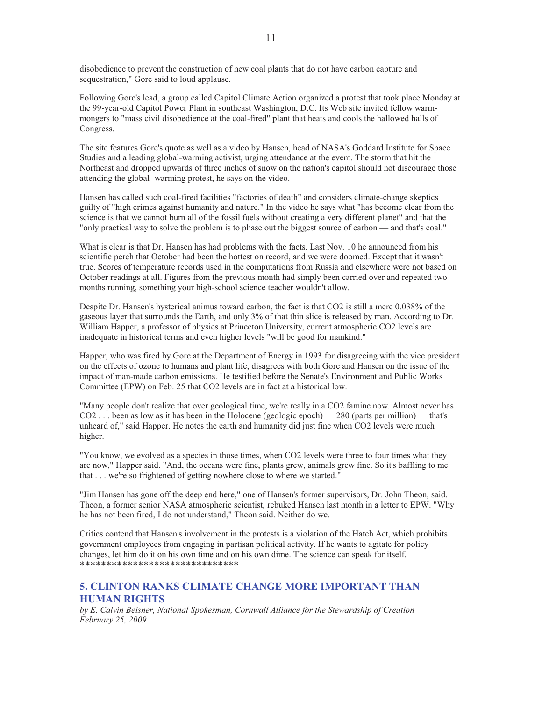disobedience to prevent the construction of new coal plants that do not have carbon capture and sequestration," Gore said to loud applause.

Following Gore's lead, a group called Capitol Climate Action organized a protest that took place Monday at the 99-year-old Capitol Power Plant in southeast Washington, D.C. Its Web site invited fellow warmmongers to "mass civil disobedience at the coal-fired" plant that heats and cools the hallowed halls of Congress.

The site features Gore's quote as well as a video by Hansen, head of NASA's Goddard Institute for Space Studies and a leading global-warming activist, urging attendance at the event. The storm that hit the Northeast and dropped upwards of three inches of snow on the nation's capitol should not discourage those attending the global- warming protest, he says on the video.

Hansen has called such coal-fired facilities "factories of death" and considers climate-change skeptics guilty of "high crimes against humanity and nature." In the video he says what "has become clear from the science is that we cannot burn all of the fossil fuels without creating a very different planet" and that the "only practical way to solve the problem is to phase out the biggest source of carbon — and that's coal."

What is clear is that Dr. Hansen has had problems with the facts. Last Nov. 10 he announced from his scientific perch that October had been the hottest on record, and we were doomed. Except that it wasn't true. Scores of temperature records used in the computations from Russia and elsewhere were not based on October readings at all. Figures from the previous month had simply been carried over and repeated two months running, something your high-school science teacher wouldn't allow.

Despite Dr. Hansen's hysterical animus toward carbon, the fact is that CO2 is still a mere 0.038% of the gaseous layer that surrounds the Earth, and only 3% of that thin slice is released by man. According to Dr. William Happer, a professor of physics at Princeton University, current atmospheric CO2 levels are inadequate in historical terms and even higher levels "will be good for mankind."

Happer, who was fired by Gore at the Department of Energy in 1993 for disagreeing with the vice president on the effects of ozone to humans and plant life, disagrees with both Gore and Hansen on the issue of the impact of man-made carbon emissions. He testified before the Senate's Environment and Public Works Committee (EPW) on Feb. 25 that CO2 levels are in fact at a historical low.

"Many people don't realize that over geological time, we're really in a CO2 famine now. Almost never has  $CO2...$  been as low as it has been in the Holocene (geologic epoch)  $-280$  (parts per million)  $-$  that's unheard of," said Happer. He notes the earth and humanity did just fine when CO2 levels were much higher.

"You know, we evolved as a species in those times, when CO2 levels were three to four times what they are now," Happer said. "And, the oceans were fine, plants grew, animals grew fine. So it's baffling to me that . . . we're so frightened of getting nowhere close to where we started."

"Jim Hansen has gone off the deep end here," one of Hansen's former supervisors, Dr. John Theon, said. Theon, a former senior NASA atmospheric scientist, rebuked Hansen last month in a letter to EPW. "Why he has not been fired, I do not understand," Theon said. Neither do we.

Critics contend that Hansen's involvement in the protests is a violation of the Hatch Act, which prohibits government employees from engaging in partisan political activity. If he wants to agitate for policy changes, let him do it on his own time and on his own dime. The science can speak for itself. \*\*\*\*\*\*\*\*\*\*\*\*\*\*\*\*\*\*\*\*\*\*\*\*\*\*\*\*\*\*

# **5. CLINTON RANKS CLIMATE CHANGE MORE IMPORTANT THAN HUMAN RIGHTS**

*by E. Calvin Beisner, National Spokesman, Cornwall Alliance for the Stewardship of Creation February 25, 2009*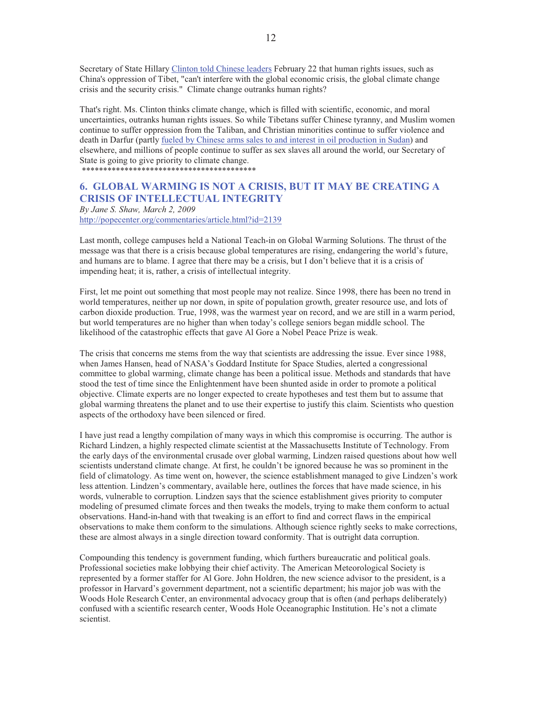Secretary of State Hillary Clinton told Chinese leaders February 22 that human rights issues, such as China's oppression of Tibet, "can't interfere with the global economic crisis, the global climate change crisis and the security crisis." Climate change outranks human rights?

That's right. Ms. Clinton thinks climate change, which is filled with scientific, economic, and moral uncertainties, outranks human rights issues. So while Tibetans suffer Chinese tyranny, and Muslim women continue to suffer oppression from the Taliban, and Christian minorities continue to suffer violence and death in Darfur (partly fueled by Chinese arms sales to and interest in oil production in Sudan) and elsewhere, and millions of people continue to suffer as sex slaves all around the world, our Secretary of State is going to give priority to climate change. \*\*\*\*\*\*\*\*\*\*\*\*\*\*\*\*\*\*\*\*\*\*\*\*\*\*\*\*\*\*\*\*\*\*\*\*\*\*\*\*\*

# **6. GLOBAL WARMING IS NOT A CRISIS, BUT IT MAY BE CREATING A CRISIS OF INTELLECTUAL INTEGRITY**

*By Jane S. Shaw, March 2, 2009*  http://popecenter.org/commentaries/article.html?id=2139

Last month, college campuses held a National Teach-in on Global Warming Solutions. The thrust of the message was that there is a crisis because global temperatures are rising, endangering the world's future, and humans are to blame. I agree that there may be a crisis, but I don't believe that it is a crisis of impending heat; it is, rather, a crisis of intellectual integrity.

First, let me point out something that most people may not realize. Since 1998, there has been no trend in world temperatures, neither up nor down, in spite of population growth, greater resource use, and lots of carbon dioxide production. True, 1998, was the warmest year on record, and we are still in a warm period, but world temperatures are no higher than when today's college seniors began middle school. The likelihood of the catastrophic effects that gave Al Gore a Nobel Peace Prize is weak.

The crisis that concerns me stems from the way that scientists are addressing the issue. Ever since 1988, when James Hansen, head of NASA's Goddard Institute for Space Studies, alerted a congressional committee to global warming, climate change has been a political issue. Methods and standards that have stood the test of time since the Enlightenment have been shunted aside in order to promote a political objective. Climate experts are no longer expected to create hypotheses and test them but to assume that global warming threatens the planet and to use their expertise to justify this claim. Scientists who question aspects of the orthodoxy have been silenced or fired.

I have just read a lengthy compilation of many ways in which this compromise is occurring. The author is Richard Lindzen, a highly respected climate scientist at the Massachusetts Institute of Technology. From the early days of the environmental crusade over global warming, Lindzen raised questions about how well scientists understand climate change. At first, he couldn't be ignored because he was so prominent in the field of climatology. As time went on, however, the science establishment managed to give Lindzen's work less attention. Lindzen's commentary, available here, outlines the forces that have made science, in his words, vulnerable to corruption. Lindzen says that the science establishment gives priority to computer modeling of presumed climate forces and then tweaks the models, trying to make them conform to actual observations. Hand-in-hand with that tweaking is an effort to find and correct flaws in the empirical observations to make them conform to the simulations. Although science rightly seeks to make corrections, these are almost always in a single direction toward conformity. That is outright data corruption.

Compounding this tendency is government funding, which furthers bureaucratic and political goals. Professional societies make lobbying their chief activity. The American Meteorological Society is represented by a former staffer for Al Gore. John Holdren, the new science advisor to the president, is a professor in Harvard's government department, not a scientific department; his major job was with the Woods Hole Research Center, an environmental advocacy group that is often (and perhaps deliberately) confused with a scientific research center, Woods Hole Oceanographic Institution. He's not a climate scientist.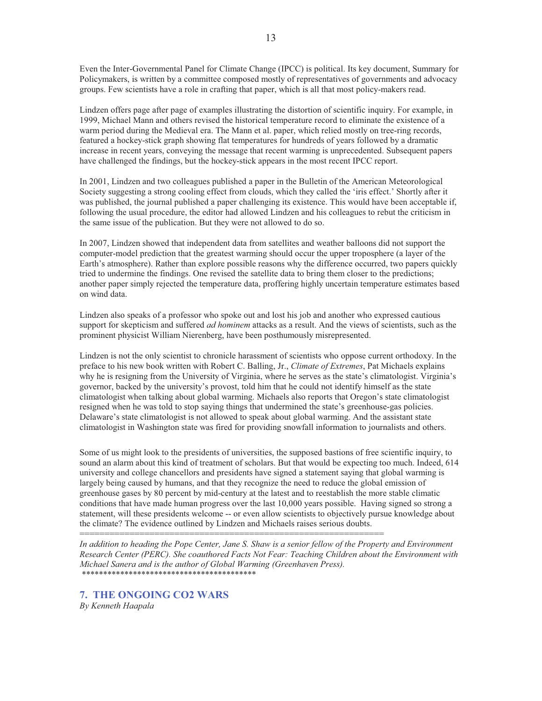Even the Inter-Governmental Panel for Climate Change (IPCC) is political. Its key document, Summary for Policymakers, is written by a committee composed mostly of representatives of governments and advocacy groups. Few scientists have a role in crafting that paper, which is all that most policy-makers read.

13

Lindzen offers page after page of examples illustrating the distortion of scientific inquiry. For example, in 1999, Michael Mann and others revised the historical temperature record to eliminate the existence of a warm period during the Medieval era. The Mann et al. paper, which relied mostly on tree-ring records, featured a hockey-stick graph showing flat temperatures for hundreds of years followed by a dramatic increase in recent years, conveying the message that recent warming is unprecedented. Subsequent papers have challenged the findings, but the hockey-stick appears in the most recent IPCC report.

In 2001, Lindzen and two colleagues published a paper in the Bulletin of the American Meteorological Society suggesting a strong cooling effect from clouds, which they called the 'iris effect.' Shortly after it was published, the journal published a paper challenging its existence. This would have been acceptable if, following the usual procedure, the editor had allowed Lindzen and his colleagues to rebut the criticism in the same issue of the publication. But they were not allowed to do so.

In 2007, Lindzen showed that independent data from satellites and weather balloons did not support the computer-model prediction that the greatest warming should occur the upper troposphere (a layer of the Earth's atmosphere). Rather than explore possible reasons why the difference occurred, two papers quickly tried to undermine the findings. One revised the satellite data to bring them closer to the predictions; another paper simply rejected the temperature data, proffering highly uncertain temperature estimates based on wind data.

Lindzen also speaks of a professor who spoke out and lost his job and another who expressed cautious support for skepticism and suffered *ad hominem* attacks as a result. And the views of scientists, such as the prominent physicist William Nierenberg, have been posthumously misrepresented.

Lindzen is not the only scientist to chronicle harassment of scientists who oppose current orthodoxy. In the preface to his new book written with Robert C. Balling, Jr., *Climate of Extremes*, Pat Michaels explains why he is resigning from the University of Virginia, where he serves as the state's climatologist. Virginia's governor, backed by the university's provost, told him that he could not identify himself as the state climatologist when talking about global warming. Michaels also reports that Oregon's state climatologist resigned when he was told to stop saying things that undermined the state's greenhouse-gas policies. Delaware's state climatologist is not allowed to speak about global warming. And the assistant state climatologist in Washington state was fired for providing snowfall information to journalists and others.

Some of us might look to the presidents of universities, the supposed bastions of free scientific inquiry, to sound an alarm about this kind of treatment of scholars. But that would be expecting too much. Indeed, 614 university and college chancellors and presidents have signed a statement saying that global warming is largely being caused by humans, and that they recognize the need to reduce the global emission of greenhouse gases by 80 percent by mid-century at the latest and to reestablish the more stable climatic conditions that have made human progress over the last 10,000 years possible. Having signed so strong a statement, will these presidents welcome -- or even allow scientists to objectively pursue knowledge about the climate? The evidence outlined by Lindzen and Michaels raises serious doubts.

============================================================= *In addition to heading the Pope Center, Jane S. Shaw is a senior fellow of the Property and Environment Research Center (PERC). She coauthored Facts Not Fear: Teaching Children about the Environment with Michael Sanera and is the author of Global Warming (Greenhaven Press).*  \*\*\*\*\*\*\*\*\*\*\*\*\*\*\*\*\*\*\*\*\*\*\*\*\*\*\*\*\*\*\*\*\*\*\*\*\*\*\*\*\*

**7. THE ONGOING CO2 WARS**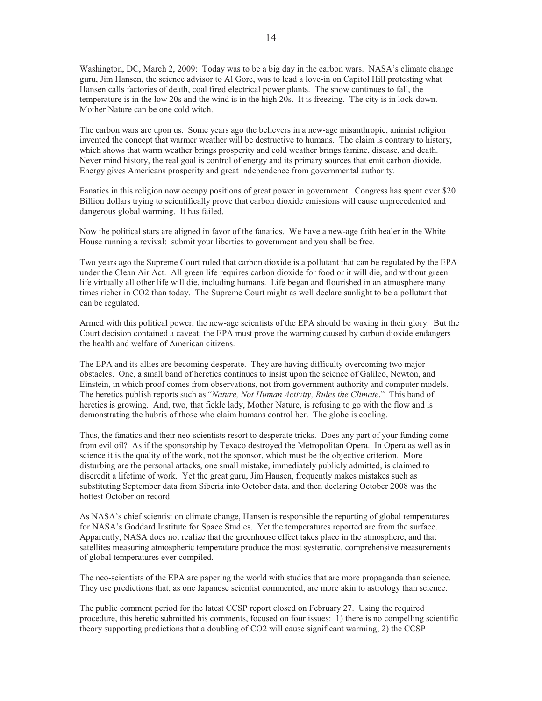Washington, DC, March 2, 2009: Today was to be a big day in the carbon wars. NASA's climate change guru, Jim Hansen, the science advisor to Al Gore, was to lead a love-in on Capitol Hill protesting what Hansen calls factories of death, coal fired electrical power plants. The snow continues to fall, the temperature is in the low 20s and the wind is in the high 20s. It is freezing. The city is in lock-down. Mother Nature can be one cold witch.

The carbon wars are upon us. Some years ago the believers in a new-age misanthropic, animist religion invented the concept that warmer weather will be destructive to humans. The claim is contrary to history, which shows that warm weather brings prosperity and cold weather brings famine, disease, and death. Never mind history, the real goal is control of energy and its primary sources that emit carbon dioxide. Energy gives Americans prosperity and great independence from governmental authority.

Fanatics in this religion now occupy positions of great power in government. Congress has spent over \$20 Billion dollars trying to scientifically prove that carbon dioxide emissions will cause unprecedented and dangerous global warming. It has failed.

Now the political stars are aligned in favor of the fanatics. We have a new-age faith healer in the White House running a revival: submit your liberties to government and you shall be free.

Two years ago the Supreme Court ruled that carbon dioxide is a pollutant that can be regulated by the EPA under the Clean Air Act. All green life requires carbon dioxide for food or it will die, and without green life virtually all other life will die, including humans. Life began and flourished in an atmosphere many times richer in CO2 than today. The Supreme Court might as well declare sunlight to be a pollutant that can be regulated.

Armed with this political power, the new-age scientists of the EPA should be waxing in their glory. But the Court decision contained a caveat; the EPA must prove the warming caused by carbon dioxide endangers the health and welfare of American citizens.

The EPA and its allies are becoming desperate. They are having difficulty overcoming two major obstacles. One, a small band of heretics continues to insist upon the science of Galileo, Newton, and Einstein, in which proof comes from observations, not from government authority and computer models. The heretics publish reports such as "*Nature, Not Human Activity, Rules the Climate*." This band of heretics is growing. And, two, that fickle lady, Mother Nature, is refusing to go with the flow and is demonstrating the hubris of those who claim humans control her. The globe is cooling.

Thus, the fanatics and their neo-scientists resort to desperate tricks. Does any part of your funding come from evil oil? As if the sponsorship by Texaco destroyed the Metropolitan Opera. In Opera as well as in science it is the quality of the work, not the sponsor, which must be the objective criterion. More disturbing are the personal attacks, one small mistake, immediately publicly admitted, is claimed to discredit a lifetime of work. Yet the great guru, Jim Hansen, frequently makes mistakes such as substituting September data from Siberia into October data, and then declaring October 2008 was the hottest October on record.

As NASA's chief scientist on climate change, Hansen is responsible the reporting of global temperatures for NASA's Goddard Institute for Space Studies. Yet the temperatures reported are from the surface. Apparently, NASA does not realize that the greenhouse effect takes place in the atmosphere, and that satellites measuring atmospheric temperature produce the most systematic, comprehensive measurements of global temperatures ever compiled.

The neo-scientists of the EPA are papering the world with studies that are more propaganda than science. They use predictions that, as one Japanese scientist commented, are more akin to astrology than science.

The public comment period for the latest CCSP report closed on February 27. Using the required procedure, this heretic submitted his comments, focused on four issues: 1) there is no compelling scientific theory supporting predictions that a doubling of CO2 will cause significant warming; 2) the CCSP